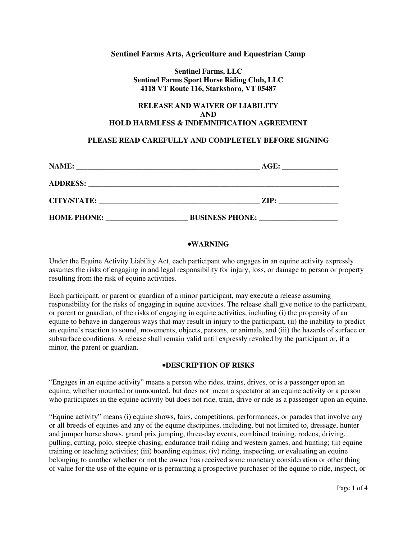## **Sentinel Farms Arts, Agriculture and Equestrian Camp**

**Sentinel Farms, LLC Sentinel Farms Sport Horse Riding Club, LLC 4118 VT Route 116, Starksboro, VT 05487** 

# **RELEASE AND WAIVER OF LIABILITY AND HOLD HARMLESS & INDEMNIFICATION AGREEMENT**

# **PLEASE READ CAREFULLY AND COMPLETELY BEFORE SIGNING**

| NAME:              | AGE:                   |  |
|--------------------|------------------------|--|
| <b>ADDRESS:</b>    |                        |  |
| <b>CITY/STATE:</b> | ZIP:                   |  |
| <b>HOME PHONE:</b> | <b>BUSINESS PHONE:</b> |  |

### •**WARNING**

Under the Equine Activity Liability Act, each participant who engages in an equine activity expressly assumes the risks of engaging in and legal responsibility for injury, loss, or damage to person or property resulting from the risk of equine activities.

Each participant, or parent or guardian of a minor participant, may execute a release assuming responsibility for the risks of engaging in equine activities. The release shall give notice to the participant, or parent or guardian, of the risks of engaging in equine activities, including (i) the propensity of an equine to behave in dangerous ways that may result in injury to the participant, (ii) the inability to predict an equine's reaction to sound, movements, objects, persons, or animals, and (iii) the hazards of surface or subsurface conditions. A release shall remain valid until expressly revoked by the participant or, if a minor, the parent or guardian.

#### •**DESCRIPTION OF RISKS**

"Engages in an equine activity" means a person who rides, trains, drives, or is a passenger upon an equine, whether mounted or unmounted, but does not mean a spectator at an equine activity or a person who participates in the equine activity but does not ride, train, drive or ride as a passenger upon an equine.

"Equine activity" means (i) equine shows, fairs, competitions, performances, or parades that involve any or all breeds of equines and any of the equine disciplines, including, but not limited to, dressage, hunter and jumper horse shows, grand prix jumping, three-day events, combined training, rodeos, driving, pulling, cutting, polo, steeple chasing, endurance trail riding and western games, and hunting; (ii) equine training or teaching activities; (iii) boarding equines; (iv) riding, inspecting, or evaluating an equine belonging to another whether or not the owner has received some monetary consideration or other thing of value for the use of the equine or is permitting a prospective purchaser of the equine to ride, inspect, or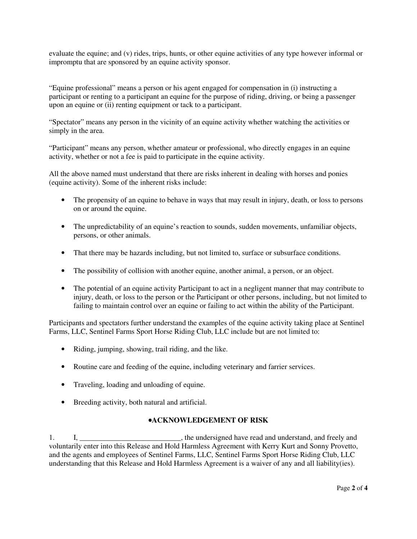evaluate the equine; and (v) rides, trips, hunts, or other equine activities of any type however informal or impromptu that are sponsored by an equine activity sponsor.

"Equine professional" means a person or his agent engaged for compensation in (i) instructing a participant or renting to a participant an equine for the purpose of riding, driving, or being a passenger upon an equine or (ii) renting equipment or tack to a participant.

"Spectator" means any person in the vicinity of an equine activity whether watching the activities or simply in the area.

"Participant" means any person, whether amateur or professional, who directly engages in an equine activity, whether or not a fee is paid to participate in the equine activity.

All the above named must understand that there are risks inherent in dealing with horses and ponies (equine activity). Some of the inherent risks include:

- The propensity of an equine to behave in ways that may result in injury, death, or loss to persons on or around the equine.
- The unpredictability of an equine's reaction to sounds, sudden movements, unfamiliar objects, persons, or other animals.
- That there may be hazards including, but not limited to, surface or subsurface conditions.
- The possibility of collision with another equine, another animal, a person, or an object.
- The potential of an equine activity Participant to act in a negligent manner that may contribute to injury, death, or loss to the person or the Participant or other persons, including, but not limited to failing to maintain control over an equine or failing to act within the ability of the Participant.

Participants and spectators further understand the examples of the equine activity taking place at Sentinel Farms, LLC, Sentinel Farms Sport Horse Riding Club, LLC include but are not limited to:

- Riding, jumping, showing, trail riding, and the like.
- Routine care and feeding of the equine, including veterinary and farrier services.
- Traveling, loading and unloading of equine.
- Breeding activity, both natural and artificial.

### •**ACKNOWLEDGEMENT OF RISK**

1. I, \_\_\_\_\_\_\_\_\_\_\_\_\_\_\_\_\_\_\_\_\_\_\_\_, the undersigned have read and understand, and freely and voluntarily enter into this Release and Hold Harmless Agreement with Kerry Kurt and Sonny Provetto, and the agents and employees of Sentinel Farms, LLC, Sentinel Farms Sport Horse Riding Club, LLC understanding that this Release and Hold Harmless Agreement is a waiver of any and all liability(ies).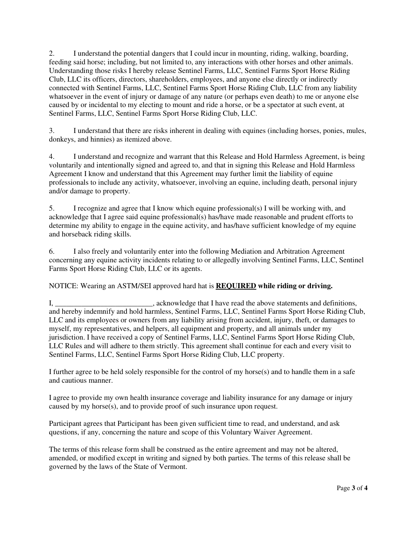2. I understand the potential dangers that I could incur in mounting, riding, walking, boarding, feeding said horse; including, but not limited to, any interactions with other horses and other animals. Understanding those risks I hereby release Sentinel Farms, LLC, Sentinel Farms Sport Horse Riding Club, LLC its officers, directors, shareholders, employees, and anyone else directly or indirectly connected with Sentinel Farms, LLC, Sentinel Farms Sport Horse Riding Club, LLC from any liability whatsoever in the event of injury or damage of any nature (or perhaps even death) to me or anyone else caused by or incidental to my electing to mount and ride a horse, or be a spectator at such event, at Sentinel Farms, LLC, Sentinel Farms Sport Horse Riding Club, LLC.

3. I understand that there are risks inherent in dealing with equines (including horses, ponies, mules, donkeys, and hinnies) as itemized above.

4. I understand and recognize and warrant that this Release and Hold Harmless Agreement, is being voluntarily and intentionally signed and agreed to, and that in signing this Release and Hold Harmless Agreement I know and understand that this Agreement may further limit the liability of equine professionals to include any activity, whatsoever, involving an equine, including death, personal injury and/or damage to property.

5. I recognize and agree that I know which equine professional(s) I will be working with, and acknowledge that I agree said equine professional(s) has/have made reasonable and prudent efforts to determine my ability to engage in the equine activity, and has/have sufficient knowledge of my equine and horseback riding skills.

6. I also freely and voluntarily enter into the following Mediation and Arbitration Agreement concerning any equine activity incidents relating to or allegedly involving Sentinel Farms, LLC, Sentinel Farms Sport Horse Riding Club, LLC or its agents.

NOTICE: Wearing an ASTM/SEI approved hard hat is **REQUIRED while riding or driving.**

I, \_\_\_\_\_\_\_\_\_\_\_\_\_\_\_\_\_\_\_\_\_\_\_\_\_\_, acknowledge that I have read the above statements and definitions, and hereby indemnify and hold harmless, Sentinel Farms, LLC, Sentinel Farms Sport Horse Riding Club, LLC and its employees or owners from any liability arising from accident, injury, theft, or damages to myself, my representatives, and helpers, all equipment and property, and all animals under my jurisdiction. I have received a copy of Sentinel Farms, LLC, Sentinel Farms Sport Horse Riding Club, LLC Rules and will adhere to them strictly. This agreement shall continue for each and every visit to Sentinel Farms, LLC, Sentinel Farms Sport Horse Riding Club, LLC property.

I further agree to be held solely responsible for the control of my horse(s) and to handle them in a safe and cautious manner.

I agree to provide my own health insurance coverage and liability insurance for any damage or injury caused by my horse(s), and to provide proof of such insurance upon request.

Participant agrees that Participant has been given sufficient time to read, and understand, and ask questions, if any, concerning the nature and scope of this Voluntary Waiver Agreement.

The terms of this release form shall be construed as the entire agreement and may not be altered, amended, or modified except in writing and signed by both parties. The terms of this release shall be governed by the laws of the State of Vermont.